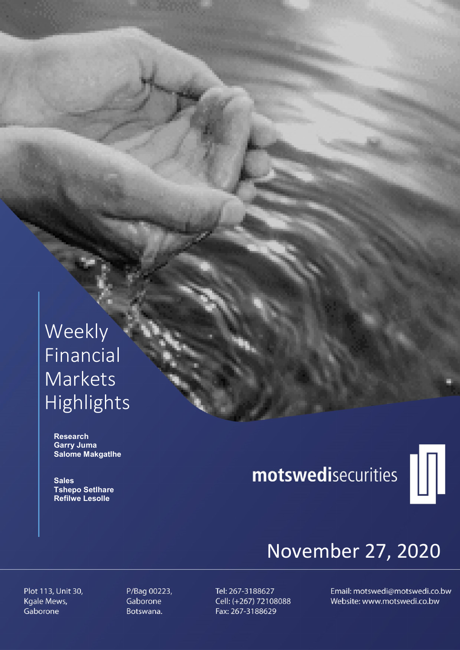# Weekly Financial Markets Highlights

 Research Garry Juma Salome Makgatlhe

**Sales**  Tshepo Setlhare Refilwe Lesolle

# motswedisecurities



# November 27, 2020

Plot 113, Unit 30, Kgale Mews, Gaborone

P/Bag 00223, Gaborone Botswana.

Tel: 267-3188627 Cell: (+267) 72108088 Fax: 267-3188629

Email: motswedi@motswedi.co.bw Website: www.motswedi.co.bw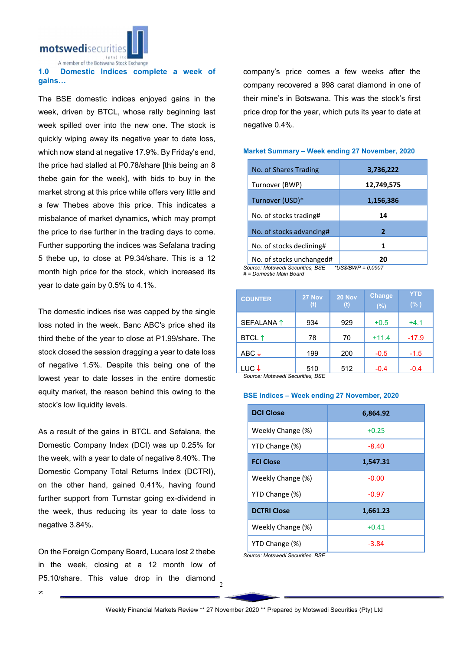motswedisecuriti

A member of the Botswana Stock Exchange

#### 1.0 Domestic Indices complete a week of gains…

The BSE domestic indices enjoyed gains in the week, driven by BTCL, whose rally beginning last week spilled over into the new one. The stock is quickly wiping away its negative year to date loss, which now stand at negative 17.9%. By Friday's end. the price had stalled at P0.78/share [this being an 8 thebe gain for the week], with bids to buy in the market strong at this price while offers very little and a few Thebes above this price. This indicates a misbalance of market dynamics, which may prompt the price to rise further in the trading days to come. Further supporting the indices was Sefalana trading 5 thebe up, to close at P9.34/share. This is a 12 month high price for the stock, which increased its year to date gain by 0.5% to 4.1%.

The domestic indices rise was capped by the single loss noted in the week. Banc ABC's price shed its third thebe of the year to close at P1.99/share. The stock closed the session dragging a year to date loss of negative 1.5%. Despite this being one of the lowest year to date losses in the entire domestic equity market, the reason behind this owing to the stock's low liquidity levels.

As a result of the gains in BTCL and Sefalana, the Domestic Company Index (DCI) was up 0.25% for the week, with a year to date of negative 8.40%. The Domestic Company Total Returns Index (DCTRI), on the other hand, gained 0.41%, having found further support from Turnstar going ex-dividend in the week, thus reducing its year to date loss to negative 3.84%.

On the Foreign Company Board, Lucara lost 2 thebe in the week, closing at a 12 month low of P5.10/share. This value drop in the diamond company's price comes a few weeks after the company recovered a 998 carat diamond in one of their mine's in Botswana. This was the stock's first price drop for the year, which puts its year to date at negative 0.4%.

#### Market Summary – Week ending 27 November, 2020

| No. of Shares Trading                                  | 3,736,222  |  |  |  |
|--------------------------------------------------------|------------|--|--|--|
| Turnover (BWP)                                         | 12,749,575 |  |  |  |
| Turnover (USD)*                                        | 1,156,386  |  |  |  |
| No. of stocks trading#                                 | 14         |  |  |  |
| No. of stocks advancing#                               | 2          |  |  |  |
| No. of stocks declining#                               | 1          |  |  |  |
| No. of stocks unchanged#                               | 20         |  |  |  |
| Source: Motswedi Securities, BSE<br>*US\$/BWP = 0.0907 |            |  |  |  |

*# = Domestic Main Board*

| <b>COUNTER</b>            | 27 Nov<br>(t)       | 20 Nov<br>(t) | <b>Change</b><br>(%) | <b>YTD</b><br>(% ) |
|---------------------------|---------------------|---------------|----------------------|--------------------|
| SEFALANA <sup>1</sup>     | 934                 | 929           | $+0.5$               | $+4.1$             |
| <b>BTCL</b> <sup>↑</sup>  | 78                  | 70            | $+11.4$              | $-17.9$            |
| ABC $\downarrow$          | 199                 | 200           | $-0.5$               | $-1.5$             |
| LUC↓<br>0.111111111111011 | 510<br>$\cdots$ not | 512           | $-0.4$               | $-0.4$             |

*Source: Motswedi Securities, BSE* 

#### BSE Indices – Week ending 27 November, 2020

| <b>DCI Close</b>   | 6,864.92 |  |  |
|--------------------|----------|--|--|
| Weekly Change (%)  | $+0.25$  |  |  |
| YTD Change (%)     | $-8.40$  |  |  |
| <b>FCI Close</b>   | 1,547.31 |  |  |
| Weekly Change (%)  | $-0.00$  |  |  |
| YTD Change (%)     | $-0.97$  |  |  |
| <b>DCTRI Close</b> | 1,661.23 |  |  |
| Weekly Change (%)  | $+0.41$  |  |  |
| YTD Change (%)     | -3.84    |  |  |

*Source: Motswedi Securities, BSE*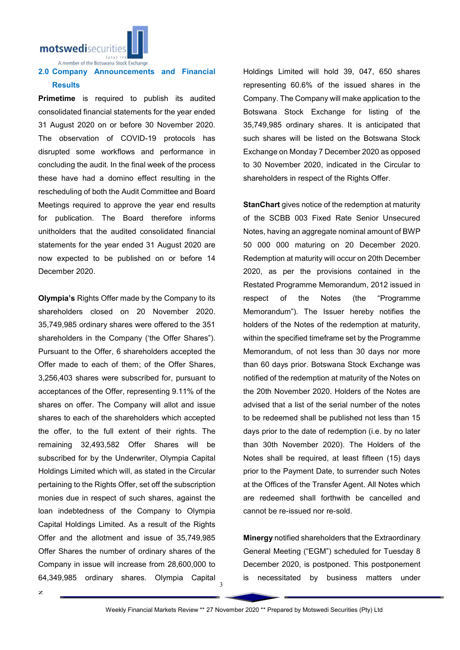motswedisecurities

A member of the Botswana Stock Exchange

### 2.0 Company Announcements and Financial **Results**

Primetime is required to publish its audited consolidated financial statements for the year ended 31 August 2020 on or before 30 November 2020. The observation of COVID-19 protocols has disrupted some workflows and performance in concluding the audit. In the final week of the process these have had a domino effect resulting in the rescheduling of both the Audit Committee and Board Meetings required to approve the year end results for publication. The Board therefore informs unitholders that the audited consolidated financial statements for the year ended 31 August 2020 are now expected to be published on or before 14 December 2020.

Olympia's Rights Offer made by the Company to its shareholders closed on 20 November 2020. 35,749,985 ordinary shares were offered to the 351 shareholders in the Company ('the Offer Shares"). Pursuant to the Offer, 6 shareholders accepted the Offer made to each of them; of the Offer Shares, 3,256,403 shares were subscribed for, pursuant to acceptances of the Offer, representing 9.11% of the shares on offer. The Company will allot and issue shares to each of the shareholders which accepted the offer, to the full extent of their rights. The remaining 32,493,582 Offer Shares will be subscribed for by the Underwriter, Olympia Capital Holdings Limited which will, as stated in the Circular pertaining to the Rights Offer, set off the subscription monies due in respect of such shares, against the loan indebtedness of the Company to Olympia Capital Holdings Limited. As a result of the Rights Offer and the allotment and issue of 35,749,985 Offer Shares the number of ordinary shares of the Company in issue will increase from 28,600,000 to 64,349,985 ordinary shares. Olympia Capital Holdings Limited will hold 39, 047, 650 shares representing 60.6% of the issued shares in the Company. The Company will make application to the Botswana Stock Exchange for listing of the 35,749,985 ordinary shares. It is anticipated that such shares will be listed on the Botswana Stock Exchange on Monday 7 December 2020 as opposed to 30 November 2020, indicated in the Circular to shareholders in respect of the Rights Offer.

StanChart gives notice of the redemption at maturity of the SCBB 003 Fixed Rate Senior Unsecured Notes, having an aggregate nominal amount of BWP 50 000 000 maturing on 20 December 2020. Redemption at maturity will occur on 20th December 2020, as per the provisions contained in the Restated Programme Memorandum, 2012 issued in respect of the Notes (the "Programme Memorandum"). The Issuer hereby notifies the holders of the Notes of the redemption at maturity, within the specified timeframe set by the Programme Memorandum, of not less than 30 days nor more than 60 days prior. Botswana Stock Exchange was notified of the redemption at maturity of the Notes on the 20th November 2020. Holders of the Notes are advised that a list of the serial number of the notes to be redeemed shall be published not less than 15 days prior to the date of redemption (i.e. by no later than 30th November 2020). The Holders of the Notes shall be required, at least fifteen (15) days prior to the Payment Date, to surrender such Notes at the Offices of the Transfer Agent. All Notes which are redeemed shall forthwith be cancelled and cannot be re-issued nor re-sold.

Minergy notified shareholders that the Extraordinary General Meeting ("EGM") scheduled for Tuesday 8 December 2020, is postponed. This postponement is necessitated by business matters under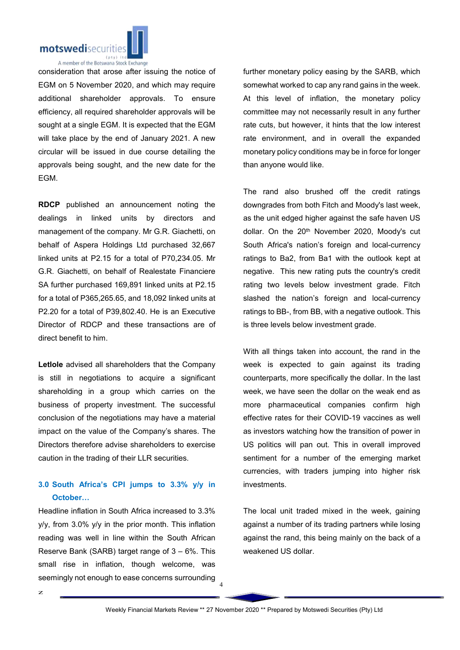

consideration that arose after issuing the notice of EGM on 5 November 2020, and which may require additional shareholder approvals. To ensure efficiency, all required shareholder approvals will be sought at a single EGM. It is expected that the EGM will take place by the end of January 2021. A new circular will be issued in due course detailing the approvals being sought, and the new date for the EGM.

RDCP published an announcement noting the dealings in linked units by directors and management of the company. Mr G.R. Giachetti, on behalf of Aspera Holdings Ltd purchased 32,667 linked units at P2.15 for a total of P70,234.05. Mr G.R. Giachetti, on behalf of Realestate Financiere SA further purchased 169,891 linked units at P2.15 for a total of P365,265.65, and 18,092 linked units at P2.20 for a total of P39,802.40. He is an Executive Director of RDCP and these transactions are of direct benefit to him.

Letlole advised all shareholders that the Company is still in negotiations to acquire a significant shareholding in a group which carries on the business of property investment. The successful conclusion of the negotiations may have a material impact on the value of the Company's shares. The Directors therefore advise shareholders to exercise caution in the trading of their LLR securities.

## 3.0 South Africa's CPI jumps to 3.3% y/y in October…

Headline inflation in South Africa increased to 3.3% y/y, from 3.0% y/y in the prior month. This inflation reading was well in line within the South African Reserve Bank (SARB) target range of 3 – 6%. This small rise in inflation, though welcome, was seemingly not enough to ease concerns surrounding further monetary policy easing by the SARB, which somewhat worked to cap any rand gains in the week. At this level of inflation, the monetary policy committee may not necessarily result in any further rate cuts, but however, it hints that the low interest rate environment, and in overall the expanded monetary policy conditions may be in force for longer than anyone would like.

The rand also brushed off the credit ratings downgrades from both Fitch and Moody's last week, as the unit edged higher against the safe haven US dollar. On the 20<sup>th</sup> November 2020, Moody's cut South Africa's nation's foreign and local-currency ratings to Ba2, from Ba1 with the outlook kept at negative. This new rating puts the country's credit rating two levels below investment grade. Fitch slashed the nation's foreign and local-currency ratings to BB-, from BB, with a negative outlook. This is three levels below investment grade.

With all things taken into account, the rand in the week is expected to gain against its trading counterparts, more specifically the dollar. In the last week, we have seen the dollar on the weak end as more pharmaceutical companies confirm high effective rates for their COVID-19 vaccines as well as investors watching how the transition of power in US politics will pan out. This in overall improved sentiment for a number of the emerging market currencies, with traders jumping into higher risk investments.

The local unit traded mixed in the week, gaining against a number of its trading partners while losing against the rand, this being mainly on the back of a weakened US dollar.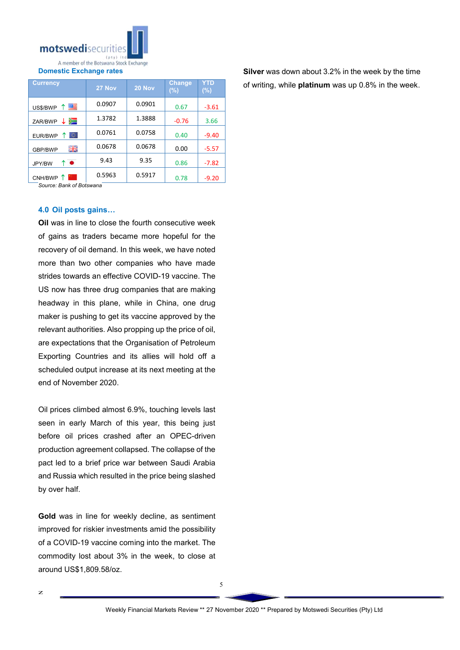

Domestic Exchange rates

| <b>Currency</b> | 27 Nov | 20 Nov | <b>Change</b><br>$(\% )$ | YTD<br>$(\%)$ |
|-----------------|--------|--------|--------------------------|---------------|
| ↑■<br>US\$/BWP  | 0.0907 | 0.0901 | 0.67                     | $-3.61$       |
| ↓ ≽⊟<br>ZAR/BWP | 1.3782 | 1.3888 | $-0.76$                  | 3.66          |
| lo.<br>EUR/BWP  | 0.0761 | 0.0758 | 0.40                     | $-9.40$       |
| 開業<br>GBP/BWP   | 0.0678 | 0.0678 | 0.00                     | $-5.57$       |
| ↑●<br>JPY/BW    | 9.43   | 9.35   | 0.86                     | $-7.82$       |
| CNH/BWP 1       | 0.5963 | 0.5917 | 0.78                     | $-9.20$       |

*Source: Bank of Botswana*

#### 4.0 Oil posts gains…

Oil was in line to close the fourth consecutive week of gains as traders became more hopeful for the recovery of oil demand. In this week, we have noted more than two other companies who have made strides towards an effective COVID-19 vaccine. The US now has three drug companies that are making headway in this plane, while in China, one drug maker is pushing to get its vaccine approved by the relevant authorities. Also propping up the price of oil, are expectations that the Organisation of Petroleum Exporting Countries and its allies will hold off a scheduled output increase at its next meeting at the end of November 2020.

Oil prices climbed almost 6.9%, touching levels last seen in early March of this year, this being just before oil prices crashed after an OPEC-driven production agreement collapsed. The collapse of the pact led to a brief price war between Saudi Arabia and Russia which resulted in the price being slashed by over half.

Gold was in line for weekly decline, as sentiment improved for riskier investments amid the possibility of a COVID-19 vaccine coming into the market. The commodity lost about 3% in the week, to close at around US\$1,809.58/oz.

Silver was down about 3.2% in the week by the time of writing, while platinum was up 0.8% in the week.